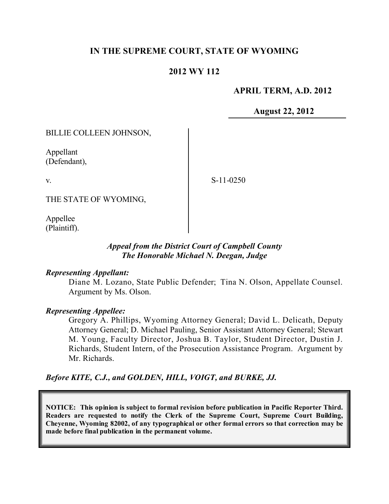# **IN THE SUPREME COURT, STATE OF WYOMING**

# **2012 WY 112**

# **APRIL TERM, A.D. 2012**

**August 22, 2012**

BILLIE COLLEEN JOHNSON,

Appellant (Defendant),

v.

S-11-0250

THE STATE OF WYOMING,

Appellee (Plaintiff).

# *Appeal from the District Court of Campbell County The Honorable Michael N. Deegan, Judge*

## *Representing Appellant:*

Diane M. Lozano, State Public Defender; Tina N. Olson, Appellate Counsel. Argument by Ms. Olson.

## *Representing Appellee:*

Gregory A. Phillips, Wyoming Attorney General; David L. Delicath, Deputy Attorney General; D. Michael Pauling, Senior Assistant Attorney General; Stewart M. Young, Faculty Director, Joshua B. Taylor, Student Director, Dustin J. Richards, Student Intern, of the Prosecution Assistance Program. Argument by Mr. Richards.

*Before KITE, C.J., and GOLDEN, HILL, VOIGT, and BURKE, JJ.*

**NOTICE: This opinion is subject to formal revision before publication in Pacific Reporter Third. Readers are requested to notify the Clerk of the Supreme Court, Supreme Court Building, Cheyenne, Wyoming 82002, of any typographical or other formal errors so that correction may be made before final publication in the permanent volume.**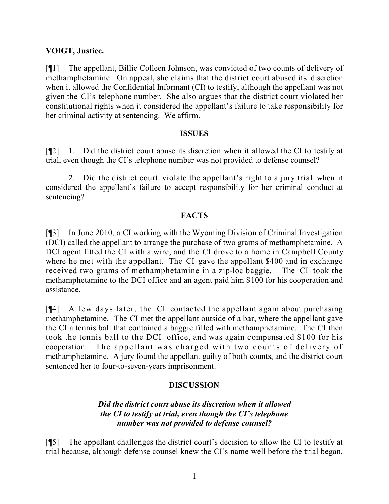# **VOIGT, Justice.**

[¶1] The appellant, Billie Colleen Johnson, was convicted of two counts of delivery of methamphetamine. On appeal, she claims that the district court abused its discretion when it allowed the Confidential Informant (CI) to testify, although the appellant was not given the CI's telephone number. She also argues that the district court violated her constitutional rights when it considered the appellant's failure to take responsibility for her criminal activity at sentencing. We affirm.

#### **ISSUES**

[¶2] 1. Did the district court abuse its discretion when it allowed the CI to testify at trial, even though the CI's telephone number was not provided to defense counsel?

2. Did the district court violate the appellant's right to a jury trial when it considered the appellant's failure to accept responsibility for her criminal conduct at sentencing?

## **FACTS**

[¶3] In June 2010, a CI working with the Wyoming Division of Criminal Investigation (DCI) called the appellant to arrange the purchase of two grams of methamphetamine. A DCI agent fitted the CI with a wire, and the CI drove to a home in Campbell County where he met with the appellant. The CI gave the appellant \$400 and in exchange received two grams of methamphetamine in a zip-loc baggie. The CI took the methamphetamine to the DCI office and an agent paid him \$100 for his cooperation and assistance.

[¶4] A few days later, the CI contacted the appellant again about purchasing methamphetamine. The CI met the appellant outside of a bar, where the appellant gave the CI a tennis ball that contained a baggie filled with methamphetamine. The CI then took the tennis ball to the DCI office, and was again compensated \$100 for his cooperation. The appellant was charged with two counts of delivery of methamphetamine. A jury found the appellant guilty of both counts, and the district court sentenced her to four-to-seven-years imprisonment.

## **DISCUSSION**

# *Did the district court abuse its discretion when it allowed the CI to testify at trial, even though the CI's telephone number was not provided to defense counsel?*

[¶5] The appellant challenges the district court's decision to allow the CI to testify at trial because, although defense counsel knew the CI's name well before the trial began,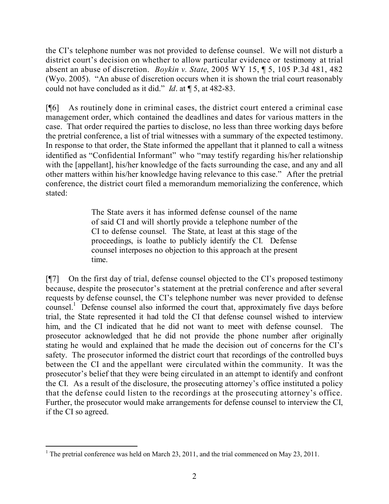the CI's telephone number was not provided to defense counsel. We will not disturb a district court's decision on whether to allow particular evidence or testimony at trial absent an abuse of discretion. *Boykin v. State*, 2005 WY 15, ¶ 5, 105 P.3d 481, 482 (Wyo. 2005). "An abuse of discretion occurs when it is shown the trial court reasonably could not have concluded as it did." *Id*. at ¶ 5, at 482-83.

[¶6] As routinely done in criminal cases, the district court entered a criminal case management order, which contained the deadlines and dates for various matters in the case. That order required the parties to disclose, no less than three working days before the pretrial conference, a list of trial witnesses with a summary of the expected testimony. In response to that order, the State informed the appellant that it planned to call a witness identified as "Confidential Informant" who "may testify regarding his/her relationship with the [appellant], his/her knowledge of the facts surrounding the case, and any and all other matters within his/her knowledge having relevance to this case." After the pretrial conference, the district court filed a memorandum memorializing the conference, which stated:

> The State avers it has informed defense counsel of the name of said CI and will shortly provide a telephone number of the CI to defense counsel. The State, at least at this stage of the proceedings, is loathe to publicly identify the CI. Defense counsel interposes no objection to this approach at the present time.

[¶7] On the first day of trial, defense counsel objected to the CI's proposed testimony because, despite the prosecutor's statement at the pretrial conference and after several requests by defense counsel, the CI's telephone number was never provided to defense counsel.<sup>1</sup> Defense counsel also informed the court that, approximately five days before trial, the State represented it had told the CI that defense counsel wished to interview him, and the CI indicated that he did not want to meet with defense counsel. The prosecutor acknowledged that he did not provide the phone number after originally stating he would and explained that he made the decision out of concerns for the CI's safety. The prosecutor informed the district court that recordings of the controlled buys between the CI and the appellant were circulated within the community. It was the prosecutor's belief that they were being circulated in an attempt to identify and confront the CI. As a result of the disclosure, the prosecuting attorney's office instituted a policy that the defense could listen to the recordings at the prosecuting attorney's office. Further, the prosecutor would make arrangements for defense counsel to interview the CI, if the CI so agreed.

l <sup>1</sup> The pretrial conference was held on March 23, 2011, and the trial commenced on May 23, 2011.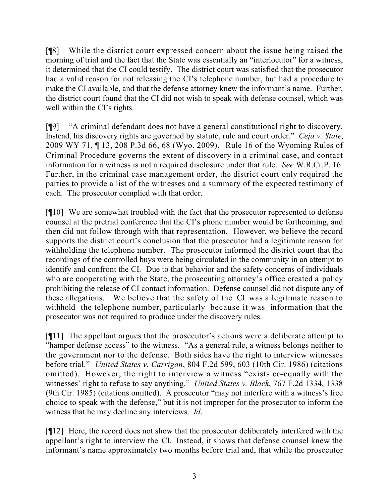[¶8] While the district court expressed concern about the issue being raised the morning of trial and the fact that the State was essentially an "interlocutor" for a witness, it determined that the CI could testify. The district court was satisfied that the prosecutor had a valid reason for not releasing the CI's telephone number, but had a procedure to make the CI available, and that the defense attorney knew the informant's name. Further, the district court found that the CI did not wish to speak with defense counsel, which was well within the CI's rights.

[¶9] "A criminal defendant does not have a general constitutional right to discovery. Instead, his discovery rights are governed by statute, rule and court order." *Ceja v. State*, 2009 WY 71, ¶ 13, 208 P.3d 66, 68 (Wyo. 2009). Rule 16 of the Wyoming Rules of Criminal Procedure governs the extent of discovery in a criminal case, and contact information for a witness is not a required disclosure under that rule. *See* W.R.Cr.P. 16. Further, in the criminal case management order, the district court only required the parties to provide a list of the witnesses and a summary of the expected testimony of each. The prosecutor complied with that order.

[¶10] We are somewhat troubled with the fact that the prosecutor represented to defense counsel at the pretrial conference that the CI's phone number would be forthcoming, and then did not follow through with that representation. However, we believe the record supports the district court's conclusion that the prosecutor had a legitimate reason for withholding the telephone number. The prosecutor informed the district court that the recordings of the controlled buys were being circulated in the community in an attempt to identify and confront the CI. Due to that behavior and the safety concerns of individuals who are cooperating with the State, the prosecuting attorney's office created a policy prohibiting the release of CI contact information. Defense counsel did not dispute any of these allegations. We believe that the safety of the CI was a legitimate reason to withhold the telephone number, particularly because it was information that the prosecutor was not required to produce under the discovery rules.

[¶11] The appellant argues that the prosecutor's actions were a deliberate attempt to "hamper defense access" to the witness. "As a general rule, a witness belongs neither to the government nor to the defense. Both sides have the right to interview witnesses before trial." *United States v. Carrigan*, 804 F.2d 599, 603 (10th Cir. 1986) (citations omitted). However, the right to interview a witness "exists co-equally with the witnesses' right to refuse to say anything." *United States v. Black*, 767 F.2d 1334, 1338 (9th Cir. 1985) (citations omitted). A prosecutor "may not interfere with a witness's free choice to speak with the defense," but it is not improper for the prosecutor to inform the witness that he may decline any interviews. *Id*.

[¶12] Here, the record does not show that the prosecutor deliberately interfered with the appellant's right to interview the CI. Instead, it shows that defense counsel knew the informant's name approximately two months before trial and, that while the prosecutor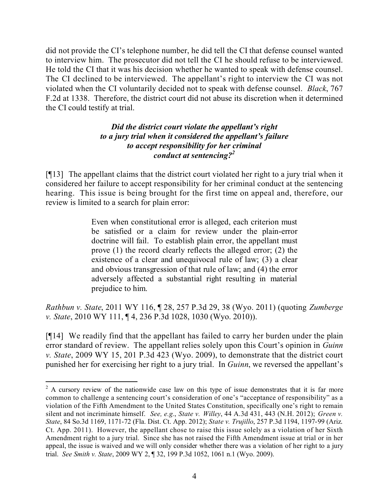did not provide the CI's telephone number, he did tell the CI that defense counsel wanted to interview him. The prosecutor did not tell the CI he should refuse to be interviewed. He told the CI that it was his decision whether he wanted to speak with defense counsel. The CI declined to be interviewed. The appellant's right to interview the CI was not violated when the CI voluntarily decided not to speak with defense counsel. *Black*, 767 F.2d at 1338. Therefore, the district court did not abuse its discretion when it determined the CI could testify at trial.

# *Did the district court violate the appellant's right to a jury trial when it considered the appellant's failure to accept responsibility for her criminal conduct at sentencing?<sup>2</sup>*

[¶13] The appellant claims that the district court violated her right to a jury trial when it considered her failure to accept responsibility for her criminal conduct at the sentencing hearing. This issue is being brought for the first time on appeal and, therefore, our review is limited to a search for plain error:

> Even when constitutional error is alleged, each criterion must be satisfied or a claim for review under the plain-error doctrine will fail. To establish plain error, the appellant must prove (1) the record clearly reflects the alleged error; (2) the existence of a clear and unequivocal rule of law; (3) a clear and obvious transgression of that rule of law; and (4) the error adversely affected a substantial right resulting in material prejudice to him.

*Rathbun v. State*, 2011 WY 116, ¶ 28, 257 P.3d 29, 38 (Wyo. 2011) (quoting *Zumberge v. State*, 2010 WY 111, ¶ 4, 236 P.3d 1028, 1030 (Wyo. 2010)).

[¶14] We readily find that the appellant has failed to carry her burden under the plain error standard of review. The appellant relies solely upon this Court's opinion in *Guinn v. State*, 2009 WY 15, 201 P.3d 423 (Wyo. 2009), to demonstrate that the district court punished her for exercising her right to a jury trial. In *Guinn*, we reversed the appellant's

 $\overline{a}$ 

 $2A$  cursory review of the nationwide case law on this type of issue demonstrates that it is far more common to challenge a sentencing court's consideration of one's "acceptance of responsibility" as a violation of the Fifth Amendment to the United States Constitution, specifically one's right to remain silent and not incriminate himself. *See, e.g.*, *State v. Willey*, 44 A.3d 431, 443 (N.H. 2012); *Green v. State*, 84 So.3d 1169, 1171-72 (Fla. Dist. Ct. App. 2012); *State v. Trujillo*, 257 P.3d 1194, 1197-99 (Ariz. Ct. App. 2011). However, the appellant chose to raise this issue solely as a violation of her Sixth Amendment right to a jury trial. Since she has not raised the Fifth Amendment issue at trial or in her appeal, the issue is waived and we will only consider whether there was a violation of her right to a jury trial. *See Smith v. State*, 2009 WY 2, ¶ 32, 199 P.3d 1052, 1061 n.1 (Wyo. 2009).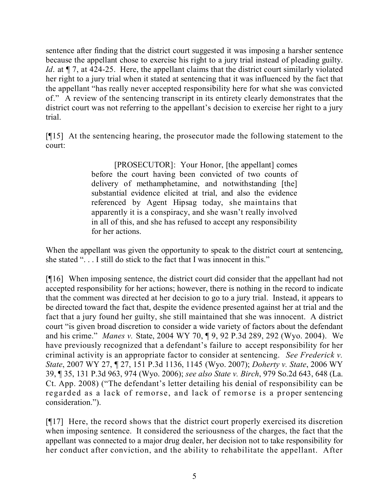sentence after finding that the district court suggested it was imposing a harsher sentence because the appellant chose to exercise his right to a jury trial instead of pleading guilty. *Id.* at  $\P$  7, at 424-25. Here, the appellant claims that the district court similarly violated her right to a jury trial when it stated at sentencing that it was influenced by the fact that the appellant "has really never accepted responsibility here for what she was convicted of." A review of the sentencing transcript in its entirety clearly demonstrates that the district court was not referring to the appellant's decision to exercise her right to a jury trial.

[¶15] At the sentencing hearing, the prosecutor made the following statement to the court:

> [PROSECUTOR]: Your Honor, [the appellant] comes before the court having been convicted of two counts of delivery of methamphetamine, and notwithstanding [the] substantial evidence elicited at trial, and also the evidence referenced by Agent Hipsag today, she maintains that apparently it is a conspiracy, and she wasn't really involved in all of this, and she has refused to accept any responsibility for her actions.

When the appellant was given the opportunity to speak to the district court at sentencing, she stated ". . . I still do stick to the fact that I was innocent in this."

[¶16] When imposing sentence, the district court did consider that the appellant had not accepted responsibility for her actions; however, there is nothing in the record to indicate that the comment was directed at her decision to go to a jury trial. Instead, it appears to be directed toward the fact that, despite the evidence presented against her at trial and the fact that a jury found her guilty, she still maintained that she was innocent. A district court "is given broad discretion to consider a wide variety of factors about the defendant and his crime." *Manes v.* State, 2004 WY 70, ¶ 9, 92 P.3d 289, 292 (Wyo. 2004). We have previously recognized that a defendant's failure to accept responsibility for her criminal activity is an appropriate factor to consider at sentencing. *See Frederick v. State*, 2007 WY 27, ¶ 27, 151 P.3d 1136, 1145 (Wyo. 2007); *Doherty v. State*, 2006 WY 39, ¶ 35, 131 P.3d 963, 974 (Wyo. 2006); *see also State v. Birch*, 979 So.2d 643, 648 (La. Ct. App. 2008) ("The defendant's letter detailing his denial of responsibility can be regarded as a lack of remorse, and lack of remorse is a proper sentencing consideration.").

[¶17] Here, the record shows that the district court properly exercised its discretion when imposing sentence. It considered the seriousness of the charges, the fact that the appellant was connected to a major drug dealer, her decision not to take responsibility for her conduct after conviction, and the ability to rehabilitate the appellant. After